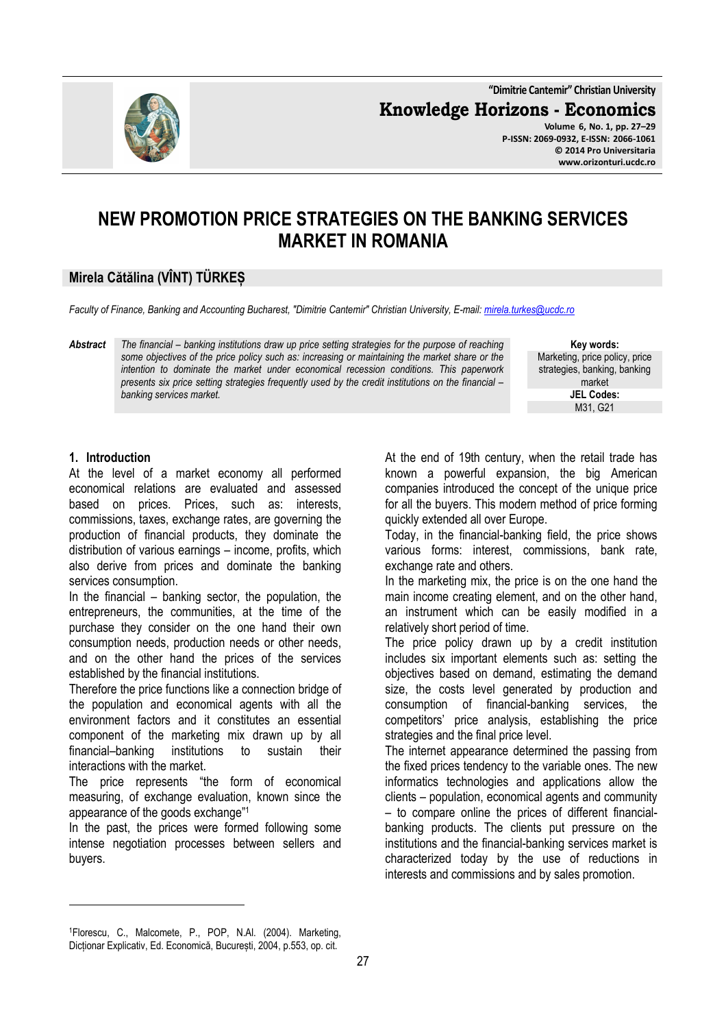**"Dimitrie Cantemir" Christian University**

**Knowledge Horizons - Economics**



**Volume 6, No. 1, pp. 27–29 P-ISSN: 2069-0932, E-ISSN: 2066-1061 © 2014 Pro Universitaria www.orizonturi.ucdc.ro**

# **NEW PROMOTION PRICE STRATEGIES ON THE BANKING SERVICES MARKET IN ROMANIA**

### **Mirela Cătălina (VÎNT) TÜRKEȘ**

*Faculty of Finance, Banking and Accounting Bucharest, "Dimitrie Cantemir" Christian University, E-mail: mirela.turkes@ucdc.ro*

*Abstract The financial – banking institutions draw up price setting strategies for the purpose of reaching some objectives of the price policy such as: increasing or maintaining the market share or the intention to dominate the market under economical recession conditions. This paperwork presents six price setting strategies frequently used by the credit institutions on the financial – banking services market.* 

**Key words:** Marketing, price policy, price strategies, banking, banking market **JEL Codes:** M31, G21

#### **1. Introduction**

l

At the level of a market economy all performed economical relations are evaluated and assessed based on prices. Prices, such as: interests, commissions, taxes, exchange rates, are governing the production of financial products, they dominate the distribution of various earnings – income, profits, which also derive from prices and dominate the banking services consumption.

In the financial  $-$  banking sector, the population, the entrepreneurs, the communities, at the time of the purchase they consider on the one hand their own consumption needs, production needs or other needs, and on the other hand the prices of the services established by the financial institutions.

Therefore the price functions like a connection bridge of the population and economical agents with all the environment factors and it constitutes an essential component of the marketing mix drawn up by all financial–banking institutions to sustain their interactions with the market.

The price represents "the form of economical measuring, of exchange evaluation, known since the appearance of the goods exchange"<sup>1</sup>

In the past, the prices were formed following some intense negotiation processes between sellers and buyers.

At the end of 19th century, when the retail trade has known a powerful expansion, the big American companies introduced the concept of the unique price for all the buyers. This modern method of price forming quickly extended all over Europe.

Today, in the financial-banking field, the price shows various forms: interest, commissions, bank rate, exchange rate and others.

In the marketing mix, the price is on the one hand the main income creating element, and on the other hand, an instrument which can be easily modified in a relatively short period of time.

The price policy drawn up by a credit institution includes six important elements such as: setting the objectives based on demand, estimating the demand size, the costs level generated by production and consumption of financial-banking services, the competitors' price analysis, establishing the price strategies and the final price level.

The internet appearance determined the passing from the fixed prices tendency to the variable ones. The new informatics technologies and applications allow the clients – population, economical agents and community – to compare online the prices of different financialbanking products. The clients put pressure on the institutions and the financial-banking services market is characterized today by the use of reductions in interests and commissions and by sales promotion.

<sup>1</sup>Florescu, C., Malcomete, P., POP, N.Al. (2004). Marketing, Dicționar Explicativ, Ed. Economică, București, 2004, p.553, op. cit.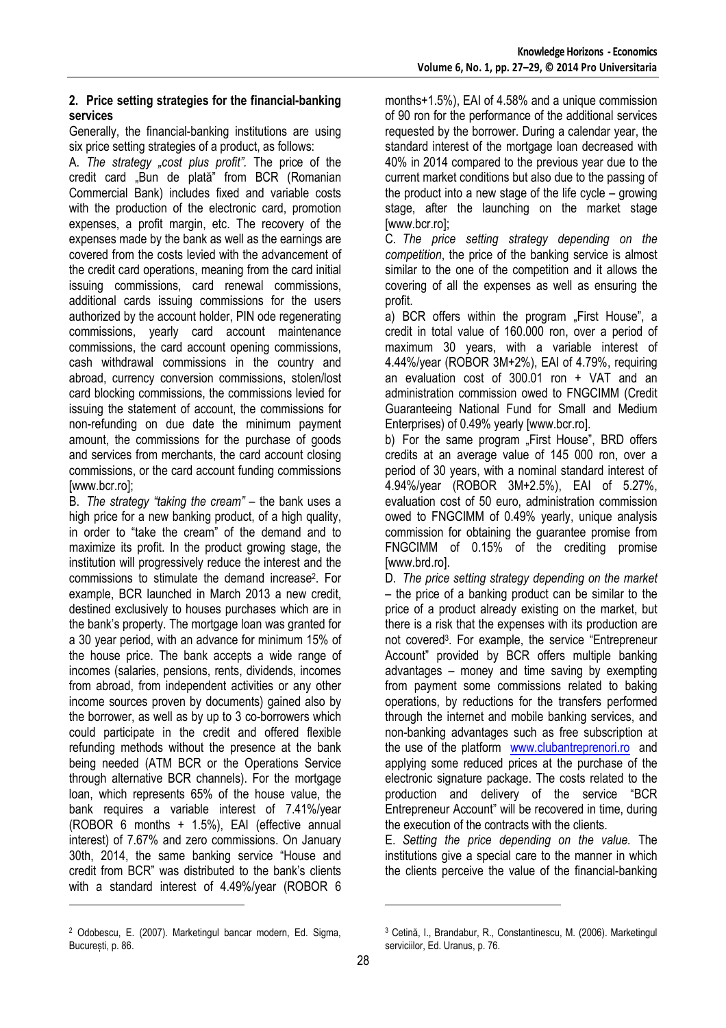#### **2. Price setting strategies for the financial-banking services**

Generally, the financial-banking institutions are using six price setting strategies of a product, as follows:

A. *The strategy "cost plus profit".* The price of the credit card "Bun de plată" from BCR (Romanian Commercial Bank) includes fixed and variable costs with the production of the electronic card, promotion expenses, a profit margin, etc. The recovery of the expenses made by the bank as well as the earnings are covered from the costs levied with the advancement of the credit card operations, meaning from the card initial issuing commissions, card renewal commissions, additional cards issuing commissions for the users authorized by the account holder, PIN ode regenerating commissions, yearly card account maintenance commissions, the card account opening commissions, cash withdrawal commissions in the country and abroad, currency conversion commissions, stolen/lost card blocking commissions, the commissions levied for issuing the statement of account, the commissions for non-refunding on due date the minimum payment amount, the commissions for the purchase of goods and services from merchants, the card account closing commissions, or the card account funding commissions [www.bcr.ro];

B. *The strategy "taking the cream"* – the bank uses a high price for a new banking product, of a high quality, in order to "take the cream" of the demand and to maximize its profit. In the product growing stage, the institution will progressively reduce the interest and the commissions to stimulate the demand increase<sup>2</sup> . For example, BCR launched in March 2013 a new credit, destined exclusively to houses purchases which are in the bank's property. The mortgage loan was granted for a 30 year period, with an advance for minimum 15% of the house price. The bank accepts a wide range of incomes (salaries, pensions, rents, dividends, incomes from abroad, from independent activities or any other income sources proven by documents) gained also by the borrower, as well as by up to 3 co-borrowers which could participate in the credit and offered flexible refunding methods without the presence at the bank being needed (ATM BCR or the Operations Service through alternative BCR channels). For the mortgage loan, which represents 65% of the house value, the bank requires a variable interest of 7.41%/year (ROBOR 6 months + 1.5%), EAI (effective annual interest) of 7.67% and zero commissions. On January 30th, 2014, the same banking service "House and credit from BCR" was distributed to the bank's clients with a standard interest of 4.49%/year (ROBOR 6 l

months+1.5%), EAI of 4.58% and a unique commission of 90 ron for the performance of the additional services requested by the borrower. During a calendar year, the standard interest of the mortgage loan decreased with 40% in 2014 compared to the previous year due to the current market conditions but also due to the passing of the product into a new stage of the life cycle – growing stage, after the launching on the market stage [www.bcr.ro];

C. *The price setting strategy depending on the competition*, the price of the banking service is almost similar to the one of the competition and it allows the covering of all the expenses as well as ensuring the profit.

a) BCR offers within the program "First House", a credit in total value of 160.000 ron, over a period of maximum 30 years, with a variable interest of 4.44%/year (ROBOR 3M+2%), EAI of 4.79%, requiring an evaluation cost of 300.01 ron + VAT and an administration commission owed to FNGCIMM (Credit Guaranteeing National Fund for Small and Medium Enterprises) of 0.49% yearly [www.bcr.ro].

b) For the same program First House", BRD offers credits at an average value of 145 000 ron, over a period of 30 years, with a nominal standard interest of 4.94%/year (ROBOR 3M+2.5%), EAI of 5.27%, evaluation cost of 50 euro, administration commission owed to FNGCIMM of 0.49% yearly, unique analysis commission for obtaining the guarantee promise from FNGCIMM of 0.15% of the crediting promise [www.brd.ro].

D. *The price setting strategy depending on the market* – the price of a banking product can be similar to the price of a product already existing on the market, but there is a risk that the expenses with its production are not covered<sup>3</sup> . For example, the service "Entrepreneur Account" provided by BCR offers multiple banking advantages – money and time saving by exempting from payment some commissions related to baking operations, by reductions for the transfers performed through the internet and mobile banking services, and non-banking advantages such as free subscription at the use of the platform www.clubantreprenori.ro and applying some reduced prices at the purchase of the electronic signature package. The costs related to the production and delivery of the service "BCR Entrepreneur Account" will be recovered in time, during the execution of the contracts with the clients.

E. *Setting the price depending on the value.* The institutions give a special care to the manner in which the clients perceive the value of the financial-banking

l

<sup>2</sup> Odobescu, E. (2007). Marketingul bancar modern, Ed. Sigma, București, p. 86.

<sup>3</sup> Cetină, I., Brandabur, R., Constantinescu, M. (2006). Marketingul serviciilor, Ed. Uranus, p. 76.